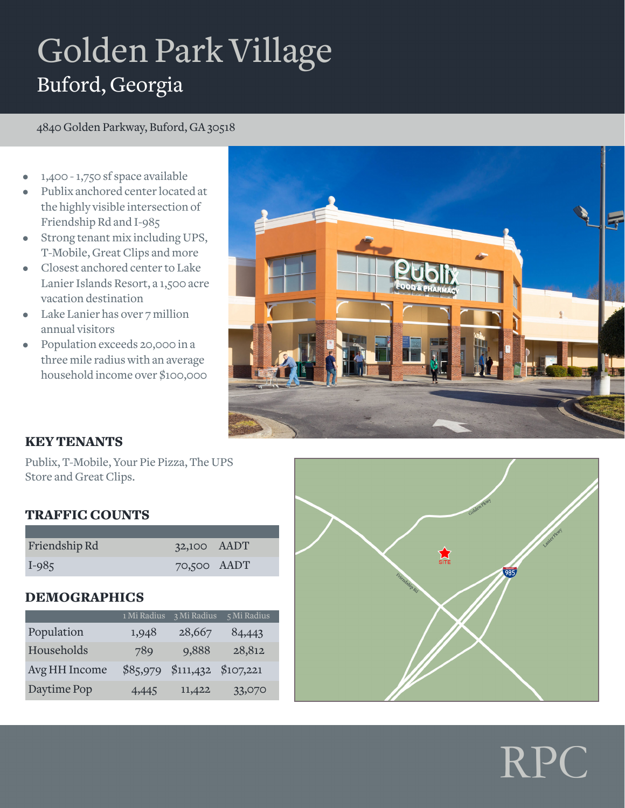# Golden Park Village Buford, Georgia

4840 Golden Parkway, Buford, GA 30518

- 1,400 1,750 sf space available
- Publix anchored center located at the highly visible intersection of Friendship Rd and I-985
- Strong tenant mix including UPS, T-Mobile, Great Clips and more
- Closest anchored center to Lake Lanier Islands Resort, a 1,500 acre vacation destination
- Lake Lanier has over 7 million annual visitors
- Population exceeds 20,000 in a three mile radius with an average household income over \$100,000



## KEY TENANTS

Publix, T-Mobile, Your Pie Pizza, The UPS Store and Great Clips.

### TRAFFIC COUNTS

| Friendship Rd | $32,100$ $\triangle$ ADT |  |
|---------------|--------------------------|--|
| $I-985$       | 70,500 AADT              |  |

### DEMOGRAPHICS

|               | 1 Mi Radius | 3 Mi Radius | 5 Mi Radius |
|---------------|-------------|-------------|-------------|
| Population    | 1,948       | 28,667      | 84,443      |
| Households    | 789         | 9,888       | 28,812      |
| Avg HH Income | \$85,979    | \$111,432   | \$107,221   |
| Daytime Pop   | 4,445       | 11,422      | 33,070      |



RPC